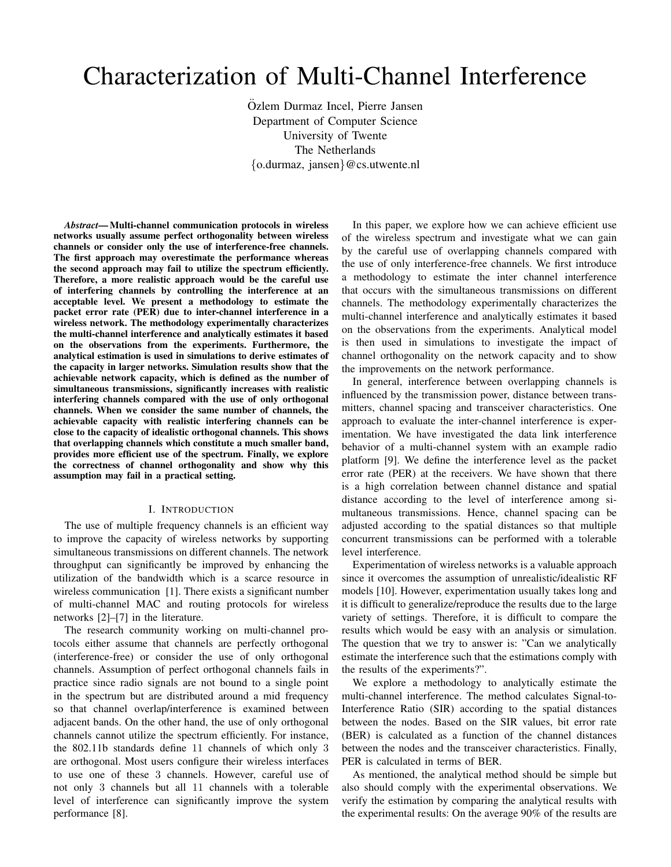# Characterization of Multi-Channel Interference

Ozlem Durmaz Incel, Pierre Jansen ¨ Department of Computer Science University of Twente The Netherlands {o.durmaz, jansen}@cs.utwente.nl

*Abstract***— Multi-channel communication protocols in wireless networks usually assume perfect orthogonality between wireless channels or consider only the use of interference-free channels. The first approach may overestimate the performance whereas the second approach may fail to utilize the spectrum efficiently. Therefore, a more realistic approach would be the careful use of interfering channels by controlling the interference at an acceptable level. We present a methodology to estimate the packet error rate (PER) due to inter-channel interference in a wireless network. The methodology experimentally characterizes the multi-channel interference and analytically estimates it based on the observations from the experiments. Furthermore, the analytical estimation is used in simulations to derive estimates of the capacity in larger networks. Simulation results show that the achievable network capacity, which is defined as the number of simultaneous transmissions, significantly increases with realistic interfering channels compared with the use of only orthogonal channels. When we consider the same number of channels, the achievable capacity with realistic interfering channels can be close to the capacity of idealistic orthogonal channels. This shows that overlapping channels which constitute a much smaller band, provides more efficient use of the spectrum. Finally, we explore the correctness of channel orthogonality and show why this assumption may fail in a practical setting.**

### I. INTRODUCTION

The use of multiple frequency channels is an efficient way to improve the capacity of wireless networks by supporting simultaneous transmissions on different channels. The network throughput can significantly be improved by enhancing the utilization of the bandwidth which is a scarce resource in wireless communication [1]. There exists a significant number of multi-channel MAC and routing protocols for wireless networks [2]–[7] in the literature.

The research community working on multi-channel protocols either assume that channels are perfectly orthogonal (interference-free) or consider the use of only orthogonal channels. Assumption of perfect orthogonal channels fails in practice since radio signals are not bound to a single point in the spectrum but are distributed around a mid frequency so that channel overlap/interference is examined between adjacent bands. On the other hand, the use of only orthogonal channels cannot utilize the spectrum efficiently. For instance, the 802.11b standards define 11 channels of which only 3 are orthogonal. Most users configure their wireless interfaces to use one of these 3 channels. However, careful use of not only 3 channels but all 11 channels with a tolerable level of interference can significantly improve the system performance [8].

In this paper, we explore how we can achieve efficient use of the wireless spectrum and investigate what we can gain by the careful use of overlapping channels compared with the use of only interference-free channels. We first introduce a methodology to estimate the inter channel interference that occurs with the simultaneous transmissions on different channels. The methodology experimentally characterizes the multi-channel interference and analytically estimates it based on the observations from the experiments. Analytical model is then used in simulations to investigate the impact of channel orthogonality on the network capacity and to show the improvements on the network performance.

In general, interference between overlapping channels is influenced by the transmission power, distance between transmitters, channel spacing and transceiver characteristics. One approach to evaluate the inter-channel interference is experimentation. We have investigated the data link interference behavior of a multi-channel system with an example radio platform [9]. We define the interference level as the packet error rate (PER) at the receivers. We have shown that there is a high correlation between channel distance and spatial distance according to the level of interference among simultaneous transmissions. Hence, channel spacing can be adjusted according to the spatial distances so that multiple concurrent transmissions can be performed with a tolerable level interference.

Experimentation of wireless networks is a valuable approach since it overcomes the assumption of unrealistic/idealistic RF models [10]. However, experimentation usually takes long and it is difficult to generalize/reproduce the results due to the large variety of settings. Therefore, it is difficult to compare the results which would be easy with an analysis or simulation. The question that we try to answer is: "Can we analytically estimate the interference such that the estimations comply with the results of the experiments?".

We explore a methodology to analytically estimate the multi-channel interference. The method calculates Signal-to-Interference Ratio (SIR) according to the spatial distances between the nodes. Based on the SIR values, bit error rate (BER) is calculated as a function of the channel distances between the nodes and the transceiver characteristics. Finally, PER is calculated in terms of BER.

As mentioned, the analytical method should be simple but also should comply with the experimental observations. We verify the estimation by comparing the analytical results with the experimental results: On the average 90% of the results are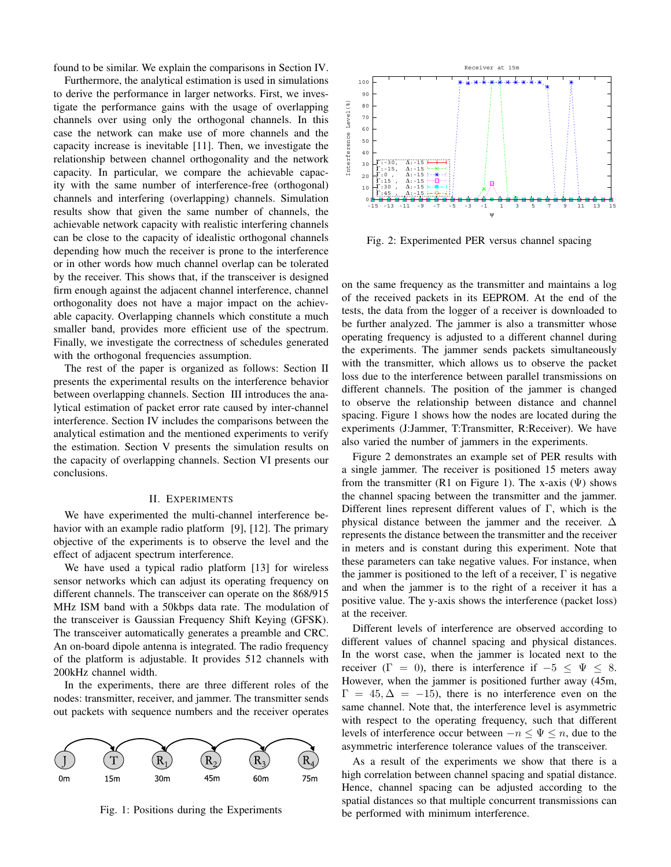found to be similar. We explain the comparisons in Section IV.

Furthermore, the analytical estimation is used in simulations to derive the performance in larger networks. First, we investigate the performance gains with the usage of overlapping channels over using only the orthogonal channels. In this case the network can make use of more channels and the capacity increase is inevitable [11]. Then, we investigate the relationship between channel orthogonality and the network capacity. In particular, we compare the achievable capacity with the same number of interference-free (orthogonal) channels and interfering (overlapping) channels. Simulation results show that given the same number of channels, the achievable network capacity with realistic interfering channels can be close to the capacity of idealistic orthogonal channels depending how much the receiver is prone to the interference or in other words how much channel overlap can be tolerated by the receiver. This shows that, if the transceiver is designed firm enough against the adjacent channel interference, channel orthogonality does not have a major impact on the achievable capacity. Overlapping channels which constitute a much smaller band, provides more efficient use of the spectrum. Finally, we investigate the correctness of schedules generated with the orthogonal frequencies assumption.

The rest of the paper is organized as follows: Section II presents the experimental results on the interference behavior between overlapping channels. Section III introduces the analytical estimation of packet error rate caused by inter-channel interference. Section IV includes the comparisons between the analytical estimation and the mentioned experiments to verify the estimation. Section V presents the simulation results on the capacity of overlapping channels. Section VI presents our conclusions.

#### II. EXPERIMENTS

We have experimented the multi-channel interference behavior with an example radio platform [9], [12]. The primary objective of the experiments is to observe the level and the effect of adjacent spectrum interference.

We have used a typical radio platform [13] for wireless sensor networks which can adjust its operating frequency on different channels. The transceiver can operate on the 868/915 MHz ISM band with a 50kbps data rate. The modulation of the transceiver is Gaussian Frequency Shift Keying (GFSK). The transceiver automatically generates a preamble and CRC. An on-board dipole antenna is integrated. The radio frequency of the platform is adjustable. It provides 512 channels with 200kHz channel width.

In the experiments, there are three different roles of the nodes: transmitter, receiver, and jammer. The transmitter sends out packets with sequence numbers and the receiver operates



Fig. 1: Positions during the Experiments



Fig. 2: Experimented PER versus channel spacing

on the same frequency as the transmitter and maintains a log of the received packets in its EEPROM. At the end of the tests, the data from the logger of a receiver is downloaded to be further analyzed. The jammer is also a transmitter whose operating frequency is adjusted to a different channel during the experiments. The jammer sends packets simultaneously with the transmitter, which allows us to observe the packet loss due to the interference between parallel transmissions on different channels. The position of the jammer is changed to observe the relationship between distance and channel spacing. Figure 1 shows how the nodes are located during the experiments (J:Jammer, T:Transmitter, R:Receiver). We have also varied the number of jammers in the experiments.

Figure 2 demonstrates an example set of PER results with a single jammer. The receiver is positioned 15 meters away from the transmitter (R1 on Figure 1). The x-axis  $(\Psi)$  shows the channel spacing between the transmitter and the jammer. Different lines represent different values of  $\Gamma$ , which is the physical distance between the jammer and the receiver.  $\Delta$ represents the distance between the transmitter and the receiver in meters and is constant during this experiment. Note that these parameters can take negative values. For instance, when the jammer is positioned to the left of a receiver,  $\Gamma$  is negative and when the jammer is to the right of a receiver it has a positive value. The y-axis shows the interference (packet loss) at the receiver.

Different levels of interference are observed according to different values of channel spacing and physical distances. In the worst case, when the jammer is located next to the receiver ( $\Gamma = 0$ ), there is interference if  $-5 \leq \Psi \leq 8$ . However, when the jammer is positioned further away (45m,  $\Gamma = 45, \Delta = -15$ , there is no interference even on the same channel. Note that, the interference level is asymmetric with respect to the operating frequency, such that different levels of interference occur between  $-n \leq \Psi \leq n$ , due to the asymmetric interference tolerance values of the transceiver.

As a result of the experiments we show that there is a high correlation between channel spacing and spatial distance. Hence, channel spacing can be adjusted according to the spatial distances so that multiple concurrent transmissions can be performed with minimum interference.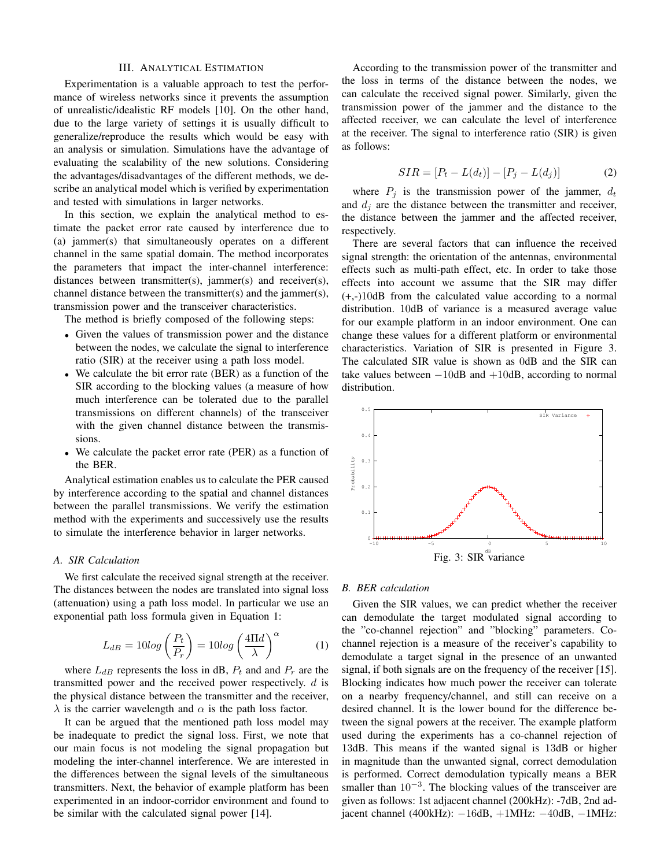#### III. ANALYTICAL ESTIMATION

Experimentation is a valuable approach to test the performance of wireless networks since it prevents the assumption of unrealistic/idealistic RF models [10]. On the other hand, due to the large variety of settings it is usually difficult to generalize/reproduce the results which would be easy with an analysis or simulation. Simulations have the advantage of evaluating the scalability of the new solutions. Considering the advantages/disadvantages of the different methods, we describe an analytical model which is verified by experimentation and tested with simulations in larger networks.

In this section, we explain the analytical method to estimate the packet error rate caused by interference due to (a) jammer(s) that simultaneously operates on a different channel in the same spatial domain. The method incorporates the parameters that impact the inter-channel interference: distances between transmitter(s), jammer(s) and receiver(s), channel distance between the transmitter(s) and the jammer(s), transmission power and the transceiver characteristics.

The method is briefly composed of the following steps:

- Given the values of transmission power and the distance between the nodes, we calculate the signal to interference ratio (SIR) at the receiver using a path loss model.
- We calculate the bit error rate (BER) as a function of the SIR according to the blocking values (a measure of how much interference can be tolerated due to the parallel transmissions on different channels) of the transceiver with the given channel distance between the transmissions.
- We calculate the packet error rate (PER) as a function of the BER.

Analytical estimation enables us to calculate the PER caused by interference according to the spatial and channel distances between the parallel transmissions. We verify the estimation method with the experiments and successively use the results to simulate the interference behavior in larger networks.

## *A. SIR Calculation*

We first calculate the received signal strength at the receiver. The distances between the nodes are translated into signal loss (attenuation) using a path loss model. In particular we use an exponential path loss formula given in Equation 1:

$$
L_{dB} = 10\log\left(\frac{P_t}{P_r}\right) = 10\log\left(\frac{4\Pi d}{\lambda}\right)^{\alpha} \tag{1}
$$

where  $L_{dB}$  represents the loss in dB,  $P_t$  and and  $P_r$  are the transmitted power and the received power respectively. d is the physical distance between the transmitter and the receiver,  $\lambda$  is the carrier wavelength and  $\alpha$  is the path loss factor.

It can be argued that the mentioned path loss model may be inadequate to predict the signal loss. First, we note that our main focus is not modeling the signal propagation but modeling the inter-channel interference. We are interested in the differences between the signal levels of the simultaneous transmitters. Next, the behavior of example platform has been experimented in an indoor-corridor environment and found to be similar with the calculated signal power [14].

According to the transmission power of the transmitter and the loss in terms of the distance between the nodes, we can calculate the received signal power. Similarly, given the transmission power of the jammer and the distance to the affected receiver, we can calculate the level of interference at the receiver. The signal to interference ratio (SIR) is given as follows:

$$
SIR = [P_t - L(d_t)] - [P_j - L(d_j)] \tag{2}
$$

where  $P_j$  is the transmission power of the jammer,  $d_t$ and  $d_j$  are the distance between the transmitter and receiver, the distance between the jammer and the affected receiver, respectively.

There are several factors that can influence the received signal strength: the orientation of the antennas, environmental effects such as multi-path effect, etc. In order to take those effects into account we assume that the SIR may differ (+,-)10dB from the calculated value according to a normal distribution. 10dB of variance is a measured average value for our example platform in an indoor environment. One can change these values for a different platform or environmental characteristics. Variation of SIR is presented in Figure 3. The calculated SIR value is shown as 0dB and the SIR can take values between  $-10$ dB and  $+10$ dB, according to normal distribution.



## *B. BER calculation*

Given the SIR values, we can predict whether the receiver can demodulate the target modulated signal according to the "co-channel rejection" and "blocking" parameters. Cochannel rejection is a measure of the receiver's capability to demodulate a target signal in the presence of an unwanted signal, if both signals are on the frequency of the receiver [15]. Blocking indicates how much power the receiver can tolerate on a nearby frequency/channel, and still can receive on a desired channel. It is the lower bound for the difference between the signal powers at the receiver. The example platform used during the experiments has a co-channel rejection of 13dB. This means if the wanted signal is 13dB or higher in magnitude than the unwanted signal, correct demodulation is performed. Correct demodulation typically means a BER smaller than  $10^{-3}$ . The blocking values of the transceiver are given as follows: 1st adjacent channel (200kHz): -7dB, 2nd adjacent channel (400kHz): −16dB, +1MHz: −40dB, −1MHz: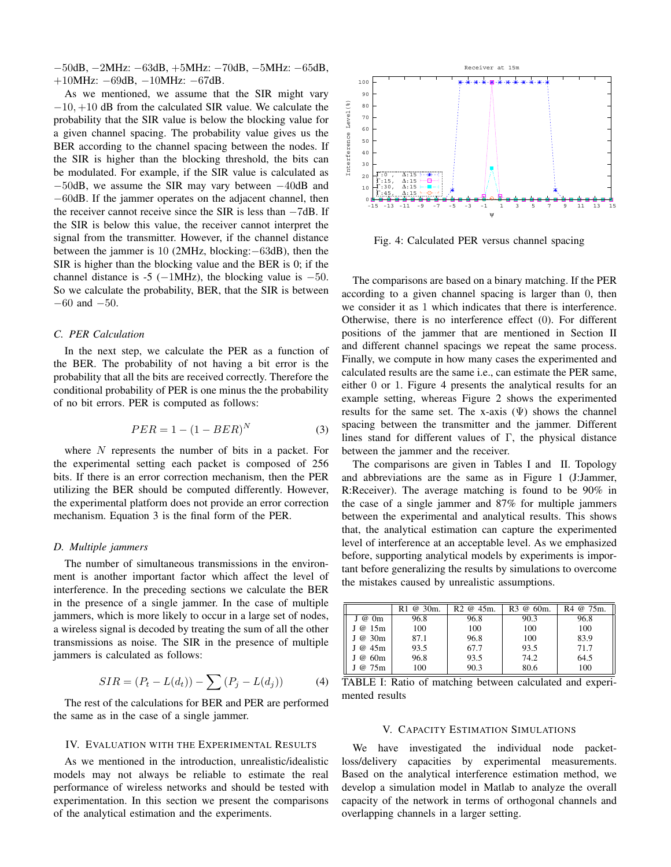−50dB, −2MHz: −63dB, +5MHz: −70dB, −5MHz: −65dB, +10MHz: −69dB, −10MHz: −67dB.

As we mentioned, we assume that the SIR might vary  $-10, +10$  dB from the calculated SIR value. We calculate the probability that the SIR value is below the blocking value for a given channel spacing. The probability value gives us the BER according to the channel spacing between the nodes. If the SIR is higher than the blocking threshold, the bits can be modulated. For example, if the SIR value is calculated as −50dB, we assume the SIR may vary between −40dB and −60dB. If the jammer operates on the adjacent channel, then the receiver cannot receive since the SIR is less than −7dB. If the SIR is below this value, the receiver cannot interpret the signal from the transmitter. However, if the channel distance between the jammer is 10 (2MHz, blocking:−63dB), then the SIR is higher than the blocking value and the BER is 0; if the channel distance is -5 ( $-1$ MHz), the blocking value is  $-50$ . So we calculate the probability, BER, that the SIR is between −60 and −50.

# *C. PER Calculation*

In the next step, we calculate the PER as a function of the BER. The probability of not having a bit error is the probability that all the bits are received correctly. Therefore the conditional probability of PER is one minus the the probability of no bit errors. PER is computed as follows:

$$
PER = 1 - (1 - BER)^{N}
$$
 (3)

where  $N$  represents the number of bits in a packet. For the experimental setting each packet is composed of 256 bits. If there is an error correction mechanism, then the PER utilizing the BER should be computed differently. However, the experimental platform does not provide an error correction mechanism. Equation 3 is the final form of the PER.

#### *D. Multiple jammers*

The number of simultaneous transmissions in the environment is another important factor which affect the level of interference. In the preceding sections we calculate the BER in the presence of a single jammer. In the case of multiple jammers, which is more likely to occur in a large set of nodes, a wireless signal is decoded by treating the sum of all the other transmissions as noise. The SIR in the presence of multiple jammers is calculated as follows:

$$
SIR = (P_t - L(d_t)) - \sum (P_j - L(d_j))
$$
 (4)

The rest of the calculations for BER and PER are performed the same as in the case of a single jammer.

#### IV. EVALUATION WITH THE EXPERIMENTAL RESULTS

As we mentioned in the introduction, unrealistic/idealistic models may not always be reliable to estimate the real performance of wireless networks and should be tested with experimentation. In this section we present the comparisons of the analytical estimation and the experiments.



Fig. 4: Calculated PER versus channel spacing

The comparisons are based on a binary matching. If the PER according to a given channel spacing is larger than 0, then we consider it as 1 which indicates that there is interference. Otherwise, there is no interference effect (0). For different positions of the jammer that are mentioned in Section II and different channel spacings we repeat the same process. Finally, we compute in how many cases the experimented and calculated results are the same i.e., can estimate the PER same, either 0 or 1. Figure 4 presents the analytical results for an example setting, whereas Figure 2 shows the experimented results for the same set. The x-axis  $(\Psi)$  shows the channel spacing between the transmitter and the jammer. Different lines stand for different values of  $\Gamma$ , the physical distance between the jammer and the receiver.

The comparisons are given in Tables I and II. Topology and abbreviations are the same as in Figure 1 (J:Jammer, R:Receiver). The average matching is found to be 90% in the case of a single jammer and 87% for multiple jammers between the experimental and analytical results. This shows that, the analytical estimation can capture the experimented level of interference at an acceptable level. As we emphasized before, supporting analytical models by experiments is important before generalizing the results by simulations to overcome the mistakes caused by unrealistic assumptions.

|                | @ 30m.<br>R 1 | R2@45m. | R3 @ 60m. | R4 @ 75m. |
|----------------|---------------|---------|-----------|-----------|
| $J \otimes 0m$ | 96.8          | 96.8    | 90.3      | 96.8      |
| @ 15m          | 100           | 100     | 100       | 100       |
| J @ 30m        | 87.1          | 96.8    | 100       | 83.9      |
| $J \omega$ 45m | 93.5          | 67.7    | 93.5      | 71.7      |
| @ 60m          | 96.8          | 93.5    | 74.2      | 64.5      |
| @ 75m          | 100           | 90.3    | 80.6      | 100       |

TABLE I: Ratio of matching between calculated and experimented results

#### V. CAPACITY ESTIMATION SIMULATIONS

We have investigated the individual node packetloss/delivery capacities by experimental measurements. Based on the analytical interference estimation method, we develop a simulation model in Matlab to analyze the overall capacity of the network in terms of orthogonal channels and overlapping channels in a larger setting.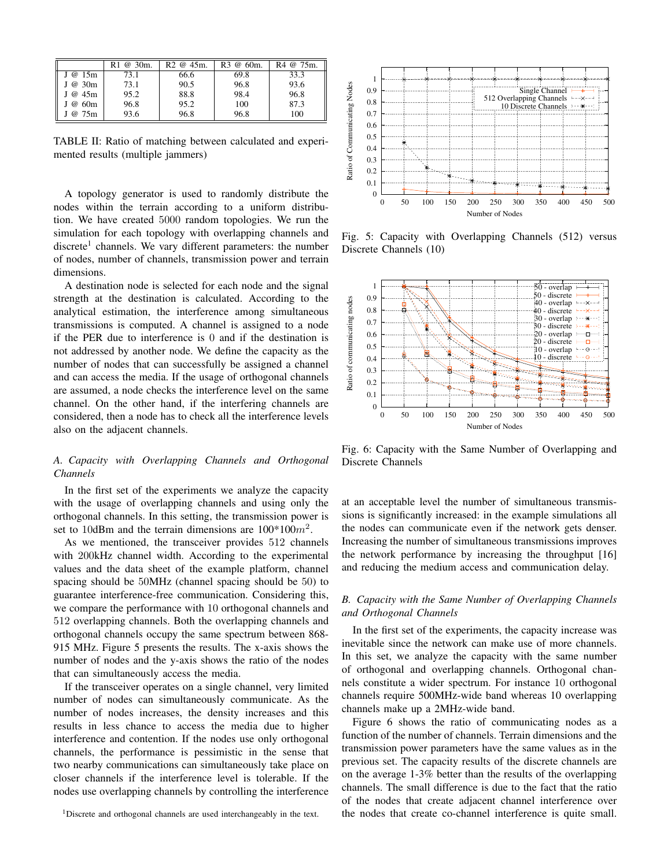|                | @ 30m. | R <sub>2</sub> @ 45m. | R3 @ 60m. | R4 @ 75m. |
|----------------|--------|-----------------------|-----------|-----------|
| J @ 15m        | 73.1   | 66.6                  | 69.8      | 33.3      |
| $J \omega$ 30m | 73.1   | 90.5                  | 96.8      | 93.6      |
| $J \omega$ 45m | 95.2   | 88.8                  | 98.4      | 96.8      |
| @ 60m          | 96.8   | 95.2                  | 100       | 87.3      |
| @ 75m          | 93.6   | 96.8                  | 96.8      | 100       |

TABLE II: Ratio of matching between calculated and experimented results (multiple jammers)

A topology generator is used to randomly distribute the nodes within the terrain according to a uniform distribution. We have created 5000 random topologies. We run the simulation for each topology with overlapping channels and discrete<sup>1</sup> channels. We vary different parameters: the number of nodes, number of channels, transmission power and terrain dimensions.

A destination node is selected for each node and the signal strength at the destination is calculated. According to the analytical estimation, the interference among simultaneous transmissions is computed. A channel is assigned to a node if the PER due to interference is 0 and if the destination is not addressed by another node. We define the capacity as the number of nodes that can successfully be assigned a channel and can access the media. If the usage of orthogonal channels are assumed, a node checks the interference level on the same channel. On the other hand, if the interfering channels are considered, then a node has to check all the interference levels also on the adjacent channels. A inopology generator is used to randomly distribute the channels channels and the content of the content of the content or the back or the momenta or the back of the content or the model of the model of the content or th

# *A. Capacity with Overlapping Channels and Orthogonal Channels*

In the first set of the experiments we analyze the capacity with the usage of overlapping channels and using only the orthogonal channels. In this setting, the transmission power is set to 10dBm and the terrain dimensions are  $100*100m^2$ .

As we mentioned, the transceiver provides 512 channels with 200kHz channel width. According to the experimental values and the data sheet of the example platform, channel spacing should be 50MHz (channel spacing should be 50) to guarantee interference-free communication. Considering this, we compare the performance with 10 orthogonal channels and 512 overlapping channels. Both the overlapping channels and orthogonal channels occupy the same spectrum between 868- 915 MHz. Figure 5 presents the results. The x-axis shows the number of nodes and the y-axis shows the ratio of the nodes that can simultaneously access the media.

If the transceiver operates on a single channel, very limited number of nodes can simultaneously communicate. As the number of nodes increases, the density increases and this results in less chance to access the media due to higher interference and contention. If the nodes use only orthogonal channels, the performance is pessimistic in the sense that two nearby communications can simultaneously take place on closer channels if the interference level is tolerable. If the nodes use overlapping channels by controlling the interference



Fig. 5: Capacity with Overlapping Channels (512) versus Discrete Channels (10)



Fig. 6: Capacity with the Same Number of Overlapping and Discrete Channels

at an acceptable level the number of simultaneous transmissions is significantly increased: in the example simulations all the nodes can communicate even if the network gets denser. Increasing the number of simultaneous transmissions improves the network performance by increasing the throughput [16] and reducing the medium access and communication delay.

# *B. Capacity with the Same Number of Overlapping Channels and Orthogonal Channels*

In the first set of the experiments, the capacity increase was inevitable since the network can make use of more channels. In this set, we analyze the capacity with the same number of orthogonal and overlapping channels. Orthogonal channels constitute a wider spectrum. For instance 10 orthogonal channels require 500MHz-wide band whereas 10 overlapping channels make up a 2MHz-wide band.

Figure 6 shows the ratio of communicating nodes as a function of the number of channels. Terrain dimensions and the transmission power parameters have the same values as in the previous set. The capacity results of the discrete channels are on the average 1-3% better than the results of the overlapping channels. The small difference is due to the fact that the ratio of the nodes that create adjacent channel interference over the nodes that create co-channel interference is quite small.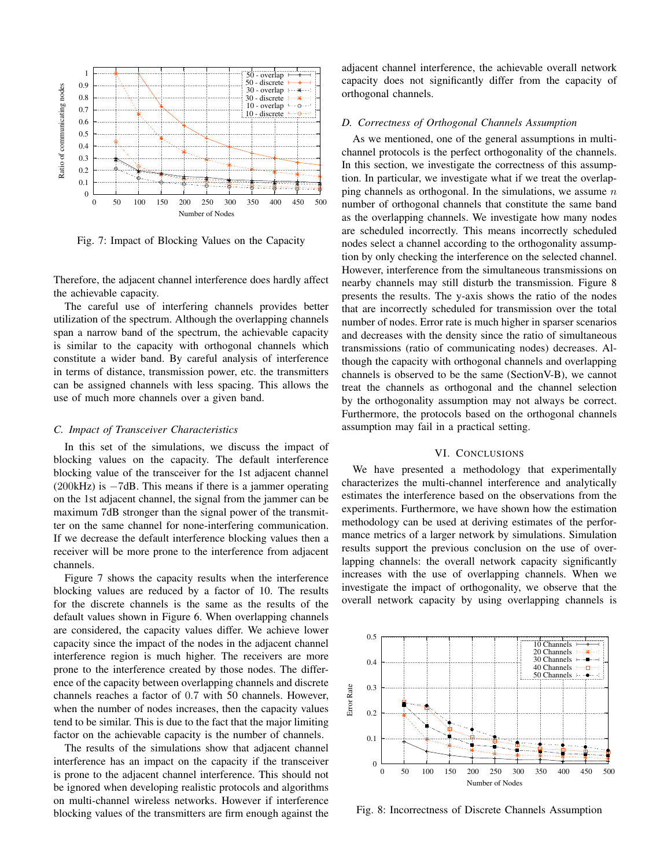

Fig. 7: Impact of Blocking Values on the Capacity

Therefore, the adjacent channel interference does hardly affect the achievable capacity.

The careful use of interfering channels provides better utilization of the spectrum. Although the overlapping channels span a narrow band of the spectrum, the achievable capacity is similar to the capacity with orthogonal channels which constitute a wider band. By careful analysis of interference in terms of distance, transmission power, etc. the transmitters can be assigned channels with less spacing. This allows the use of much more channels over a given band.

#### *C. Impact of Transceiver Characteristics*

In this set of the simulations, we discuss the impact of blocking values on the capacity. The default interference blocking value of the transceiver for the 1st adjacent channel (200kHz) is −7dB. This means if there is a jammer operating on the 1st adjacent channel, the signal from the jammer can be maximum 7dB stronger than the signal power of the transmitter on the same channel for none-interfering communication. If we decrease the default interference blocking values then a receiver will be more prone to the interference from adjacent channels.

Figure 7 shows the capacity results when the interference blocking values are reduced by a factor of 10. The results for the discrete channels is the same as the results of the default values shown in Figure 6. When overlapping channels are considered, the capacity values differ. We achieve lower capacity since the impact of the nodes in the adjacent channel interference region is much higher. The receivers are more prone to the interference created by those nodes. The difference of the capacity between overlapping channels and discrete channels reaches a factor of 0.7 with 50 channels. However, when the number of nodes increases, then the capacity values tend to be similar. This is due to the fact that the major limiting factor on the achievable capacity is the number of channels.

The results of the simulations show that adjacent channel interference has an impact on the capacity if the transceiver is prone to the adjacent channel interference. This should not be ignored when developing realistic protocols and algorithms on multi-channel wireless networks. However if interference blocking values of the transmitters are firm enough against the adjacent channel interference, the achievable overall network capacity does not significantly differ from the capacity of orthogonal channels.

#### *D. Correctness of Orthogonal Channels Assumption*

As we mentioned, one of the general assumptions in multichannel protocols is the perfect orthogonality of the channels. In this section, we investigate the correctness of this assumption. In particular, we investigate what if we treat the overlapping channels as orthogonal. In the simulations, we assume  $n$ number of orthogonal channels that constitute the same band as the overlapping channels. We investigate how many nodes are scheduled incorrectly. This means incorrectly scheduled nodes select a channel according to the orthogonality assumption by only checking the interference on the selected channel. However, interference from the simultaneous transmissions on nearby channels may still disturb the transmission. Figure 8 presents the results. The y-axis shows the ratio of the nodes that are incorrectly scheduled for transmission over the total number of nodes. Error rate is much higher in sparser scenarios and decreases with the density since the ratio of simultaneous transmissions (ratio of communicating nodes) decreases. Although the capacity with orthogonal channels and overlapping channels is observed to be the same (SectionV-B), we cannot treat the channels as orthogonal and the channel selection by the orthogonality assumption may not always be correct. Furthermore, the protocols based on the orthogonal channels assumption may fail in a practical setting.

## VI. CONCLUSIONS

We have presented a methodology that experimentally characterizes the multi-channel interference and analytically estimates the interference based on the observations from the experiments. Furthermore, we have shown how the estimation methodology can be used at deriving estimates of the performance metrics of a larger network by simulations. Simulation results support the previous conclusion on the use of overlapping channels: the overall network capacity significantly increases with the use of overlapping channels. When we investigate the impact of orthogonality, we observe that the overall network capacity by using overlapping channels is



Fig. 8: Incorrectness of Discrete Channels Assumption